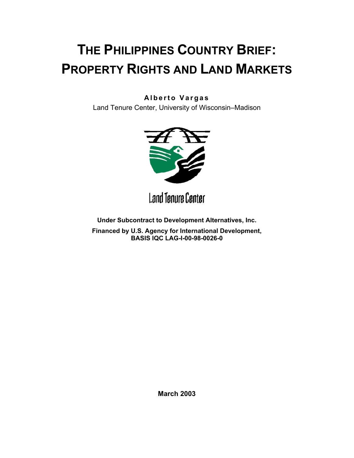# **THE PHILIPPINES COUNTRY BRIEF: PROPERTY RIGHTS AND LAND MARKETS**

## **Alberto Vargas**

Land Tenure Center, University of Wisconsin–Madison



**Land Tenure Center** 

**Under Subcontract to Development Alternatives, Inc.**

**Financed by U.S. Agency for International Development, BASIS IQC LAG-I-00-98-0026-0**

**March 2003**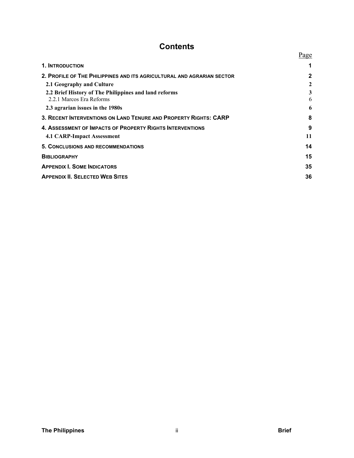## **Contents**

|                                                                                   | Page         |
|-----------------------------------------------------------------------------------|--------------|
| 1. INTRODUCTION                                                                   |              |
| 2. PROFILE OF THE PHILIPPINES AND ITS AGRICULTURAL AND AGRARIAN SECTOR            | $\mathbf{2}$ |
| 2.1 Geography and Culture                                                         | 2            |
| 2.2 Brief History of The Philippines and land reforms<br>2.2.1 Marcos Era Reforms | 3<br>6       |
| 2.3 agrarian issues in the 1980s                                                  | 6            |
| 3. RECENT INTERVENTIONS ON LAND TENURE AND PROPERTY RIGHTS: CARP                  | 8            |
| 4. ASSESSMENT OF IMPACTS OF PROPERTY RIGHTS INTERVENTIONS                         | 9            |
| 4.1 CARP-Impact Assessment                                                        | 11           |
| <b>5. CONCLUSIONS AND RECOMMENDATIONS</b>                                         | 14           |
| <b>BIBLIOGRAPHY</b>                                                               | 15           |
| <b>APPENDIX I. SOME INDICATORS</b>                                                | 35           |
| <b>APPENDIX II. SELECTED WEB SITES</b>                                            | 36           |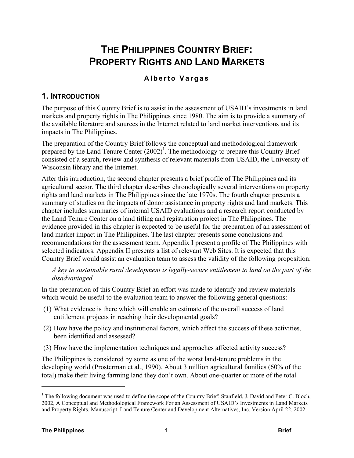## **THE PHILIPPINES COUNTRY BRIEF: PROPERTY RIGHTS AND LAND MARKETS**

#### **Alberto Vargas**

## **1. INTRODUCTION**

The purpose of this Country Brief is to assist in the assessment of USAID's investments in land markets and property rights in The Philippines since 1980. The aim is to provide a summary of the available literature and sources in the Internet related to land market interventions and its impacts in The Philippines.

The preparation of the Country Brief follows the conceptual and methodological framework prepared by the Land Tenure Center (2002)<sup>1</sup>. The methodology to prepare this Country Brief consisted of a search, review and synthesis of relevant materials from USAID, the University of Wisconsin library and the Internet.

After this introduction, the second chapter presents a brief profile of The Philippines and its agricultural sector. The third chapter describes chronologically several interventions on property rights and land markets in The Philippines since the late 1970s. The fourth chapter presents a summary of studies on the impacts of donor assistance in property rights and land markets. This chapter includes summaries of internal USAID evaluations and a research report conducted by the Land Tenure Center on a land titling and registration project in The Philippines. The evidence provided in this chapter is expected to be useful for the preparation of an assessment of land market impact in The Philippines. The last chapter presents some conclusions and recommendations for the assessment team. Appendix I present a profile of The Philippines with selected indicators. Appendix II presents a list of relevant Web Sites. It is expected that this Country Brief would assist an evaluation team to assess the validity of the following proposition:

*A key to sustainable rural development is legally-secure entitlement to land on the part of the disadvantaged.*

In the preparation of this Country Brief an effort was made to identify and review materials which would be useful to the evaluation team to answer the following general questions:

- (1) What evidence is there which will enable an estimate of the overall success of land entitlement projects in reaching their developmental goals?
- (2) How have the policy and institutional factors, which affect the success of these activities, been identified and assessed?
- (3) How have the implementation techniques and approaches affected activity success?

The Philippines is considered by some as one of the worst land-tenure problems in the developing world (Prosterman et al., 1990). About 3 million agricultural families (60% of the total) make their living farming land they don't own. About one-quarter or more of the total

 $\overline{a}$ 

<sup>&</sup>lt;sup>1</sup> The following document was used to define the scope of the Country Brief: Stanfield, J. David and Peter C. Bloch, 2002, A Conceptual and Methodological Framework For an Assessment of USAID's Investments in Land Markets and Property Rights. Manuscript. Land Tenure Center and Development Alternatives, Inc. Version April 22, 2002.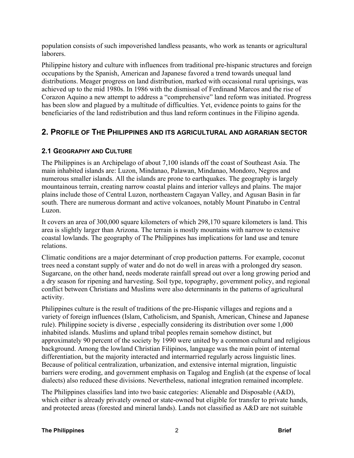population consists of such impoverished landless peasants, who work as tenants or agricultural laborers.

Philippine history and culture with influences from traditional pre-hispanic structures and foreign occupations by the Spanish, American and Japanese favored a trend towards unequal land distributions. Meager progress on land distribution, marked with occasional rural uprisings, was achieved up to the mid 1980s. In 1986 with the dismissal of Ferdinand Marcos and the rise of Corazon Aquino a new attempt to address a "comprehensive" land reform was initiated. Progress has been slow and plagued by a multitude of difficulties. Yet, evidence points to gains for the beneficiaries of the land redistribution and thus land reform continues in the Filipino agenda.

## **2. PROFILE OF THE PHILIPPINES AND ITS AGRICULTURAL AND AGRARIAN SECTOR**

### **2.1 GEOGRAPHY AND CULTURE**

The Philippines is an Archipelago of about 7,100 islands off the coast of Southeast Asia. The main inhabited islands are: Luzon, Mindanao, Palawan, Mindanao, Mondoro, Negros and numerous smaller islands. All the islands are prone to earthquakes. The geography is largely mountainous terrain, creating narrow coastal plains and interior valleys and plains. The major plains include those of Central Luzon, northeastern Cagayan Valley, and Agusan Basin in far south. There are numerous dormant and active volcanoes, notably Mount Pinatubo in Central Luzon.

It covers an area of 300,000 square kilometers of which 298,170 square kilometers is land. This area is slightly larger than Arizona. The terrain is mostly mountains with narrow to extensive coastal lowlands. The geography of The Philippines has implications for land use and tenure relations.

Climatic conditions are a major determinant of crop production patterns. For example, coconut trees need a constant supply of water and do not do well in areas with a prolonged dry season. Sugarcane, on the other hand, needs moderate rainfall spread out over a long growing period and a dry season for ripening and harvesting. Soil type, topography, government policy, and regional conflict between Christians and Muslims were also determinants in the patterns of agricultural activity.

Philippines culture is the result of traditions of the pre-Hispanic villages and regions and a variety of foreign influences (Islam, Catholicism, and Spanish, American, Chinese and Japanese rule). Philippine society is diverse , especially considering its distribution over some 1,000 inhabited islands. Muslims and upland tribal peoples remain somehow distinct, but approximately 90 percent of the society by 1990 were united by a common cultural and religious background. Among the lowland Christian Filipinos, language was the main point of internal differentiation, but the majority interacted and intermarried regularly across linguistic lines. Because of political centralization, urbanization, and extensive internal migration, linguistic barriers were eroding, and government emphasis on Tagalog and English (at the expense of local dialects) also reduced these divisions. Nevertheless, national integration remained incomplete.

The Philippines classifies land into two basic categories: Alienable and Disposable (A&D), which either is already privately owned or state-owned but eligible for transfer to private hands, and protected areas (forested and mineral lands). Lands not classified as A&D are not suitable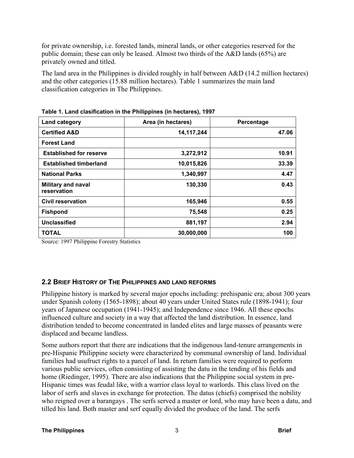for private ownership, i.e. forested lands, mineral lands, or other categories reserved for the public domain; these can only be leased. Almost two thirds of the A&D lands (65%) are privately owned and titled.

The land area in the Philippines is divided roughly in half between A&D (14.2 million hectares) and the other categories (15.88 million hectares). Table 1 summarizes the main land classification categories in The Philippines.

| Land category                            | Area (in hectares) | Percentage |
|------------------------------------------|--------------------|------------|
| <b>Certified A&amp;D</b>                 | 14, 117, 244       | 47.06      |
| <b>Forest Land</b>                       |                    |            |
| <b>Established for reserve</b>           | 3,272,912          | 10.91      |
| <b>Established timberland</b>            | 10,015,826         | 33.39      |
| <b>National Parks</b>                    | 1,340,997          | 4.47       |
| <b>Military and naval</b><br>reservation | 130,330            | 0.43       |
| <b>Civil reservation</b>                 | 165,946            | 0.55       |
| <b>Fishpond</b>                          | 75,548             | 0.25       |
| <b>Unclassified</b>                      | 881,197            | 2.94       |
| <b>TOTAL</b>                             | 30,000,000         | 100        |

**Table 1. Land clasification in the Philippines (in hectares), 1997**

Source: 1997 Philippine Forestry Statistics

### **2.2 BRIEF HISTORY OF THE PHILIPPINES AND LAND REFORMS**

Philippine history is marked by several major epochs including: prehispanic era; about 300 years under Spanish colony (1565-1898); about 40 years under United States rule (1898-1941); four years of Japanese occupation (1941-1945); and Independence since 1946. All these epochs influenced culture and society in a way that affected the land distribution. In essence, land distribution tended to become concentrated in landed elites and large masses of peasants were displaced and became landless.

Some authors report that there are indications that the indigenous land-tenure arrangements in pre-Hispanic Philippine society were characterized by communal ownership of land. Individual families had usufruct rights to a parcel of land. In return families were required to perform various public services, often consisting of assisting the datu in the tending of his fields and home (Riedinger, 1995). There are also indications that the Philippine social system in pre-Hispanic times was feudal like, with a warrior class loyal to warlords. This class lived on the labor of serfs and slaves in exchange for protection. The datus (chiefs) comprised the nobility who reigned over a barangays . The serfs served a master or lord, who may have been a datu, and tilled his land. Both master and serf equally divided the produce of the land. The serfs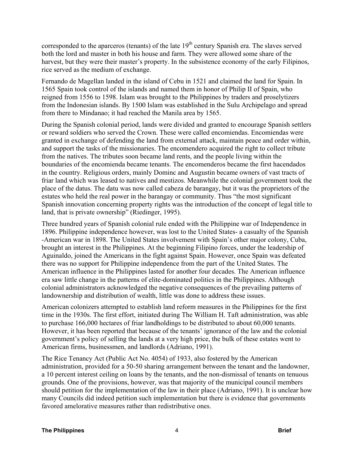corresponded to the aparceros (tenants) of the late 19<sup>th</sup> century Spanish era. The slaves served both the lord and master in both his house and farm. They were allowed some share of the harvest, but they were their master's property. In the subsistence economy of the early Filipinos, rice served as the medium of exchange.

Fernando de Magellan landed in the island of Cebu in 1521 and claimed the land for Spain. In 1565 Spain took control of the islands and named them in honor of Philip II of Spain, who reigned from 1556 to 1598. Islam was brought to the Philippines by traders and proselytizers from the Indonesian islands. By 1500 Islam was established in the Sulu Archipelago and spread from there to Mindanao; it had reached the Manila area by 1565.

During the Spanish colonial period, lands were divided and granted to encourage Spanish settlers or reward soldiers who served the Crown. These were called encomiendas. Encomiendas were granted in exchange of defending the land from external attack, maintain peace and order within, and support the tasks of the missionaries. The encomendero acquired the right to collect tribute from the natives. The tributes soon became land rents, and the people living within the boundaries of the encomienda became tenants. The encomenderos became the first hacendados in the country. Religious orders, mainly Dominc and Augustin became owners of vast tracts of friar land which was leased to natives and mestizos. Meanwhile the colonial government took the place of the datus. The datu was now called cabeza de barangay, but it was the proprietors of the estates who held the real power in the barangay or community. Thus "the most significant Spanish innovation concerning property rights was the introduction of the concept of legal title to land, that is private ownership" (Riedinger, 1995).

Three hundred years of Spanish colonial rule ended with the Philippine war of Independence in 1896. Philippine independence however, was lost to the United States- a casualty of the Spanish -American war in 1898. The United States involvement with Spain's other major colony, Cuba, brought an interest in the Philippines. At the beginning Filipino forces, under the leadership of Aguinaldo, joined the Americans in the fight against Spain. However, once Spain was defeated there was no support for Philippine independence from the part of the United States. The American influence in the Philippines lasted for another four decades. The American influence era saw little change in the patterns of elite-dominated politics in the Philippines. Although colonial administrators acknowledged the negative consequences of the prevailing patterns of landownership and distribution of wealth, little was done to address these issues.

American colonizers attempted to establish land reform measures in the Philippines for the first time in the 1930s. The first effort, initiated during The William H. Taft administration, was able to purchase 166,000 hectares of friar landholdings to be distributed to about 60,000 tenants. However, it has been reported that because of the tenants' ignorance of the law and the colonial government's policy of selling the lands at a very high price, the bulk of these estates went to American firms, businessmen, and landlords (Adriano, 1991).

The Rice Tenancy Act (Public Act No. 4054) of 1933, also fostered by the American administration, provided for a 50-50 sharing arrangement between the tenant and the landowner, a 10 percent interest ceiling on loans by the tenants, and the non-dismissal of tenants on tenuous grounds. One of the provisions, however, was that majority of the municipal council members should petition for the implementation of the law in their place (Adriano, 1991). It is unclear how many Councils did indeed petition such implementation but there is evidence that governments favored amelorative measures rather than redistributive ones.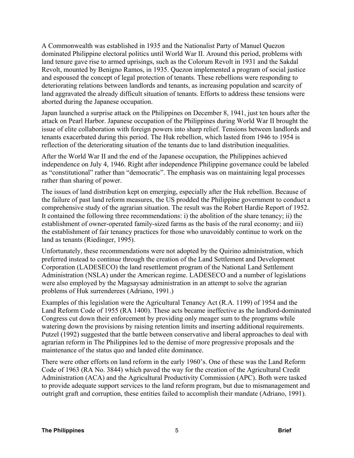A Commonwealth was established in 1935 and the Nationalist Party of Manuel Quezon dominated Philippine electoral politics until World War II. Around this period, problems with land tenure gave rise to armed uprisings, such as the Colorum Revolt in 1931 and the Sakdal Revolt, mounted by Benigno Ramos, in 1935. Quezon implemented a program of social justice and espoused the concept of legal protection of tenants. These rebellions were responding to deteriorating relations between landlords and tenants, as increasing population and scarcity of land aggravated the already difficult situation of tenants. Efforts to address these tensions were aborted during the Japanese occupation.

Japan launched a surprise attack on the Philippines on December 8, 1941, just ten hours after the attack on Pearl Harbor. Japanese occupation of the Philippines during World War II brought the issue of elite collaboration with foreign powers into sharp relief. Tensions between landlords and tenants exacerbated during this period. The Huk rebellion, which lasted from 1946 to 1954 is reflection of the deteriorating situation of the tenants due to land distribution inequalities.

After the World War II and the end of the Japanese occupation, the Philippines achieved independence on July 4, 1946. Right after independence Philippine governance could be labeled as "constitutional" rather than "democratic". The emphasis was on maintaining legal processes rather than sharing of power.

The issues of land distribution kept on emerging, especially after the Huk rebellion. Because of the failure of past land reform measures, the US prodded the Philippine government to conduct a comprehensive study of the agrarian situation. The result was the Robert Hardie Report of 1952. It contained the following three recommendations: i) the abolition of the share tenancy; ii) the establishment of owner-operated family-sized farms as the basis of the rural economy; and iii) the establishment of fair tenancy practices for those who unavoidably continue to work on the land as tenants (Riedinger, 1995).

Unfortunately, these recommendations were not adopted by the Quirino administration, which preferred instead to continue through the creation of the Land Settlement and Development Corporation (LADESECO) the land resettlement program of the National Land Settlement Administration (NSLA) under the American regime. LADESECO and a number of legislations were also employed by the Magsaysay administration in an attempt to solve the agrarian problems of Huk surrenderees (Adriano, 1991.)

Examples of this legislation were the Agricultural Tenancy Act (R.A. 1199) of 1954 and the Land Reform Code of 1955 (RA 1400). These acts became ineffective as the landlord-dominated Congress cut down their enforcement by providing only meager sum to the programs while watering down the provisions by raising retention limits and inserting additional requirements. Putzel (1992) suggested that the battle between conservative and liberal approaches to deal with agrarian reform in The Philippines led to the demise of more progressive proposals and the maintenance of the status quo and landed elite dominance.

There were other efforts on land reform in the early 1960's. One of these was the Land Reform Code of 1963 (RA No. 3844) which paved the way for the creation of the Agricultural Credit Administration (ACA) and the Agricultural Productivity Commission (APC). Both were tasked to provide adequate support services to the land reform program, but due to mismanagement and outright graft and corruption, these entities failed to accomplish their mandate (Adriano, 1991).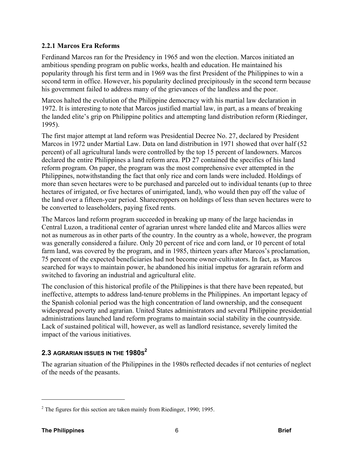#### **2.2.1 Marcos Era Reforms**

Ferdinand Marcos ran for the Presidency in 1965 and won the election. Marcos initiated an ambitious spending program on public works, health and education. He maintained his popularity through his first term and in 1969 was the first President of the Philippines to win a second term in office. However, his popularity declined precipitously in the second term because his government failed to address many of the grievances of the landless and the poor.

Marcos halted the evolution of the Philippine democracy with his martial law declaration in 1972. It is interesting to note that Marcos justified martial law, in part, as a means of breaking the landed elite's grip on Philippine politics and attempting land distribution reform (Riedinger, 1995).

The first major attempt at land reform was Presidential Decree No. 27, declared by President Marcos in 1972 under Martial Law. Data on land distribution in 1971 showed that over half (52 percent) of all agricultural lands were controlled by the top 15 percent of landowners. Marcos declared the entire Philippines a land reform area. PD 27 contained the specifics of his land reform program. On paper, the program was the most comprehensive ever attempted in the Philippines, notwithstanding the fact that only rice and corn lands were included. Holdings of more than seven hectares were to be purchased and parceled out to individual tenants (up to three hectares of irrigated, or five hectares of unirrigated, land), who would then pay off the value of the land over a fifteen-year period. Sharecroppers on holdings of less than seven hectares were to be converted to leaseholders, paying fixed rents.

The Marcos land reform program succeeded in breaking up many of the large haciendas in Central Luzon, a traditional center of agrarian unrest where landed elite and Marcos allies were not as numerous as in other parts of the country. In the country as a whole, however, the program was generally considered a failure. Only 20 percent of rice and corn land, or 10 percent of total farm land, was covered by the program, and in 1985, thirteen years after Marcos's proclamation, 75 percent of the expected beneficiaries had not become owner-cultivators. In fact, as Marcos searched for ways to maintain power, he abandoned his initial impetus for agrarain reform and switched to favoring an industrial and agricultural elite.

The conclusion of this historical profile of the Philippines is that there have been repeated, but ineffective, attempts to address land-tenure problems in the Philippines. An important legacy of the Spanish colonial period was the high concentration of land ownership, and the consequent widespread poverty and agrarian. United States administrators and several Philippine presidential administrations launched land reform programs to maintain social stability in the countryside. Lack of sustained political will, however, as well as landlord resistance, severely limited the impact of the various initiatives.

## **2.3 AGRARIAN ISSUES IN THE 1980S<sup>2</sup>**

The agrarian situation of the Philippines in the 1980s reflected decades if not centuries of neglect of the needs of the peasants.

<u>.</u>

 $2^2$  The figures for this section are taken mainly from Riedinger, 1990; 1995.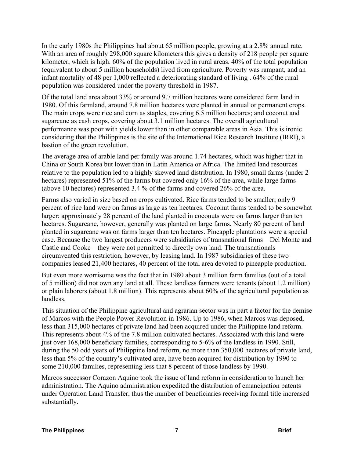In the early 1980s the Philippines had about 65 million people, growing at a 2.8% annual rate. With an area of roughly 298,000 square kilometers this gives a density of 218 people per square kilometer, which is high. 60% of the population lived in rural areas. 40% of the total population (equivalent to about 5 million households) lived from agriculture. Poverty was rampant, and an infant mortality of 48 per 1,000 reflected a deteriorating standard of living . 64% of the rural population was considered under the poverty threshold in 1987.

Of the total land area about 33% or around 9.7 million hectares were considered farm land in 1980. Of this farmland, around 7.8 million hectares were planted in annual or permanent crops. The main crops were rice and corn as staples, covering 6.5 million hectares; and coconut and sugarcane as cash crops, covering about 3.1 million hectares. The overall agricultural performance was poor with yields lower than in other comparable areas in Asia. This is ironic considering that the Philippines is the site of the International Rice Research Institute (IRRI), a bastion of the green revolution.

The average area of arable land per family was around 1.74 hectares, which was higher that in China or South Korea but lower than in Latin America or Africa. The limited land resources relative to the population led to a highly skewed land distribution. In 1980, small farms (under 2 hectares) represented 51% of the farms but covered only 16% of the area, while large farms (above 10 hectares) represented 3.4 % of the farms and covered 26% of the area.

Farms also varied in size based on crops cultivated. Rice farms tended to be smaller; only 9 percent of rice land were on farms as large as ten hectares. Coconut farms tended to be somewhat larger; approximately 28 percent of the land planted in coconuts were on farms larger than ten hectares. Sugarcane, however, generally was planted on large farms. Nearly 80 percent of land planted in sugarcane was on farms larger than ten hectares. Pineapple plantations were a special case. Because the two largest producers were subsidiaries of transnational firms—Del Monte and Castle and Cooke—they were not permitted to directly own land. The transnationals circumvented this restriction, however, by leasing land. In 1987 subsidiaries of these two companies leased 21,400 hectares, 40 percent of the total area devoted to pineapple production.

But even more worrisome was the fact that in 1980 about 3 million farm families (out of a total of 5 million) did not own any land at all. These landless farmers were tenants (about 1.2 million) or plain laborers (about 1.8 million). This represents about 60% of the agricultural population as landless.

This situation of the Philippine agricultural and agrarian sector was in part a factor for the demise of Marcos with the People Power Revolution in 1986. Up to 1986, when Marcos was deposed, less than 315,000 hectares of private land had been acquired under the Philippine land reform. This represents about 4% of the 7.8 million cultivated hectares. Associated with this land were just over 168,000 beneficiary families, corresponding to 5-6% of the landless in 1990. Still, during the 50 odd years of Philippine land reform, no more than 350,000 hectares of private land, less than 5% of the country's cultivated area, have been acquired for distribution by 1990 to some 210,000 families, representing less that 8 percent of those landless by 1990.

Marcos successor Corazon Aquino took the issue of land reform in consideration to launch her administration. The Aquino administration expedited the distribution of emancipation patents under Operation Land Transfer, thus the number of beneficiaries receiving formal title increased substantially.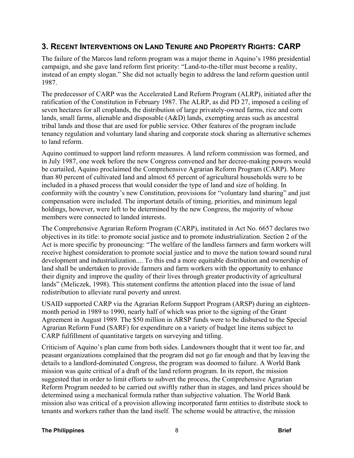## **3. RECENT INTERVENTIONS ON LAND TENURE AND PROPERTY RIGHTS: CARP**

The failure of the Marcos land reform program was a major theme in Aquino's 1986 presidential campaign, and she gave land reform first priority: "Land-to-the-tiller must become a reality, instead of an empty slogan." She did not actually begin to address the land reform question until 1987.

The predecessor of CARP was the Accelerated Land Reform Program (ALRP), initiated after the ratification of the Constitution in February 1987. The ALRP, as did PD 27, imposed a ceiling of seven hectares for all croplands, the distribution of large privately-owned farms, rice and corn lands, small farms, alienable and disposable (A&D) lands, exempting areas such as ancestral tribal lands and those that are used for public service. Other features of the program include tenancy regulation and voluntary land sharing and corporate stock sharing as alternative schemes to land reform.

Aquino continued to support land reform measures. A land reform commission was formed, and in July 1987, one week before the new Congress convened and her decree-making powers would be curtailed, Aquino proclaimed the Comprehensive Agrarian Reform Program (CARP). More than 80 percent of cultivated land and almost 65 percent of agricultural households were to be included in a phased process that would consider the type of land and size of holding. In conformity with the country's new Constitution, provisions for "voluntary land sharing" and just compensation were included. The important details of timing, priorities, and minimum legal holdings, however, were left to be determined by the new Congress, the majority of whose members were connected to landed interests.

The Comprehensive Agrarian Reform Program (CARP), instituted in Act No. 6657 declares two objectives in its title: to promote social justice and to promote industrialization. Section 2 of the Act is more specific by pronouncing: "The welfare of the landless farmers and farm workers will receive highest consideration to promote social justice and to move the nation toward sound rural development and industrialization.... To this end a more equitable distribution and ownership of land shall be undertaken to provide farmers and farm workers with the opportunity to enhance their dignity and improve the quality of their lives through greater productivity of agricultural lands" (Meliczek, 1998). This statement confirms the attention placed into the issue of land redistribution to alleviate rural poverty and unrest.

USAID supported CARP via the Agrarian Reform Support Program (ARSP) during an eighteenmonth period in 1989 to 1990, nearly half of which was prior to the signing of the Grant Agreement in August 1989. The \$50 million in ARSP funds were to be disbursed to the Special Agrarian Reform Fund (SARF) for expenditure on a variety of budget line items subject to CARP fulfillment of quantitative targets on surveying and titling.

Criticism of Aquino's plan came from both sides. Landowners thought that it went too far, and peasant organizations complained that the program did not go far enough and that by leaving the details to a landlord-dominated Congress, the program was doomed to failure. A World Bank mission was quite critical of a draft of the land reform program. In its report, the mission suggested that in order to limit efforts to subvert the process, the Comprehensive Agrarian Reform Program needed to be carried out swiftly rather than in stages, and land prices should be determined using a mechanical formula rather than subjective valuation. The World Bank mission also was critical of a provision allowing incorporated farm entities to distribute stock to tenants and workers rather than the land itself. The scheme would be attractive, the mission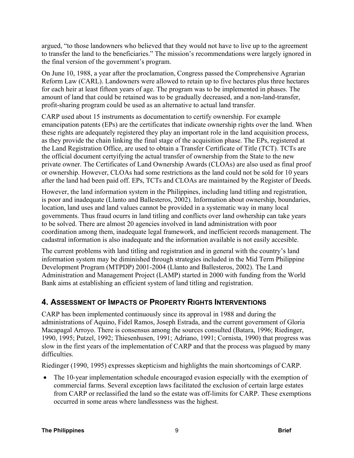argued, "to those landowners who believed that they would not have to live up to the agreement to transfer the land to the beneficiaries." The mission's recommendations were largely ignored in the final version of the government's program.

On June 10, 1988, a year after the proclamation, Congress passed the Comprehensive Agrarian Reform Law (CARL). Landowners were allowed to retain up to five hectares plus three hectares for each heir at least fifteen years of age. The program was to be implemented in phases. The amount of land that could be retained was to be gradually decreased, and a non-land-transfer, profit-sharing program could be used as an alternative to actual land transfer.

CARP used about 15 instruments as documentation to certify ownership. For example emancipation patents (EPs) are the certificates that indicate ownership rights over the land. When these rights are adequately registered they play an important role in the land acquisition process, as they provide the chain linking the final stage of the acquisition phase. The EPs, registered at the Land Registration Office, are used to obtain a Transfer Certificate of Title (TCT). TCTs are the official document certyifying the actual transfer of ownership from the State to the new private owner. The Certificates of Land Ownership Awards (CLOAs) are also used as final proof or ownership. However, CLOAs had some restrictions as the land could not be sold for 10 years after the land had been paid off. EPs, TCTs and CLOAs are maintained by the Register of Deeds.

However, the land information system in the Philippines, including land titling and registration, is poor and inadequate (Llanto and Ballesteros, 2002). Information about ownership, boundaries, location, land uses and land values cannot be provided in a systematic way in many local governments. Thus fraud ocurrs in land titling and conflicts over land owhership can take years to be solved. There are almost 20 agencies involved in land administration with poor coordination among them, inadequate legal framework, and inefficient records management. The cadastral information is also inadequate and the information available is not easily accesible.

The current problems with land titling and registration and in general with the country's land information system may be diminished through strategies included in the Mid Term Philippine Development Program (MTPDP) 2001-2004 (Llanto and Ballesteros, 2002). The Land Administration and Management Project (LAMP) started in 2000 with funding from the World Bank aims at establishing an efficient system of land titling and registration.

## **4. ASSESSMENT OF IMPACTS OF PROPERTY RIGHTS INTERVENTIONS**

CARP has been implemented continuously since its approval in 1988 and during the administrations of Aquino, Fidel Ramos, Joseph Estrada, and the current government of Gloria Macapagal Arroyo. There is consensus among the sources consulted (Batara, 1996; Riedinger, 1990, 1995; Putzel, 1992; Thiesenhusen, 1991; Adriano, 1991; Cornista, 1990) that progress was slow in the first years of the implementation of CARP and that the process was plagued by many difficulties.

Riedinger (1990, 1995) expresses skepticism and highlights the main shortcomings of CARP.

• The 10-year implementation schedule encouraged evasion especially with the exemption of commercial farms. Several exception laws facilitated the exclusion of certain large estates from CARP or reclassified the land so the estate was off-limits for CARP. These exemptions occurred in some areas where landlessness was the highest.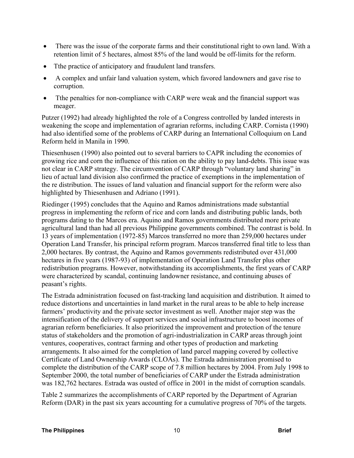- There was the issue of the corporate farms and their constitutional right to own land. With a retention limit of 5 hectares, almost 85% of the land would be off-limits for the reform.
- Tthe practice of anticipatory and fraudulent land transfers.
- A complex and unfair land valuation system, which favored landowners and gave rise to corruption.
- The penalties for non-compliance with CARP were weak and the financial support was meager.

Putzer (1992) had already highlighted the role of a Congress controlled by landed interests in weakening the scope and implementation of agrarian reforms, including CARP. Cornista (1990) had also identified some of the problems of CARP during an International Colloquium on Land Reform held in Manila in 1990.

Thiesenhusen (1990) also pointed out to several barriers to CAPR including the economies of growing rice and corn the influence of this ration on the ability to pay land-debts. This issue was not clear in CARP strategy. The circumvention of CARP through "voluntary land sharing" in lieu of actual land division also confirmed the practice of exemptions in the implementation of the re distribution. The issues of land valuation and financial support for the reform were also highlighted by Thiesenhusen and Adriano (1991).

Riedinger (1995) concludes that the Aquino and Ramos administrations made substantial progress in implementing the reform of rice and corn lands and distributing public lands, both programs dating to the Marcos era. Aquino and Ramos governments distributed more private agricultural land than had all previous Philippine governments combined. The contrast is bold. In 13 years of implementation (1972-85) Marcos transferred no more than 259,000 hectares under Operation Land Transfer, his principal reform program. Marcos transferred final title to less than 2,000 hectares. By contrast, the Aquino and Ramos governments redistributed over 431,000 hectares in five years (1987-93) of implementation of Operation Land Transfer plus other redistribution programs. However, notwithstanding its accomplishments, the first years of CARP were characterized by scandal, continuing landowner resistance, and continuing abuses of peasant's rights.

The Estrada administration focused on fast-tracking land acquisition and distribution. It aimed to reduce distortions and uncertainties in land market in the rural areas to be able to help increase farmers' productivity and the private sector investment as well. Another major step was the intensification of the delivery of support services and social infrastructure to boost incomes of agrarian reform beneficiaries. It also prioritized the improvement and protection of the tenure status of stakeholders and the promotion of agri-industrialization in CARP areas through joint ventures, cooperatives, contract farming and other types of production and marketing arrangements. It also aimed for the completion of land parcel mapping covered by collective Certificate of Land Ownership Awards (CLOAs). The Estrada administration promised to complete the distribution of the CARP scope of 7.8 million hectares by 2004. From July 1998 to September 2000, the total number of beneficiaries of CARP under the Estrada administration was 182,762 hectares. Estrada was ousted of office in 2001 in the midst of corruption scandals.

Table 2 summarizes the accomplishments of CARP reported by the Department of Agrarian Reform (DAR) in the past six years accounting for a cumulative progress of 70% of the targets.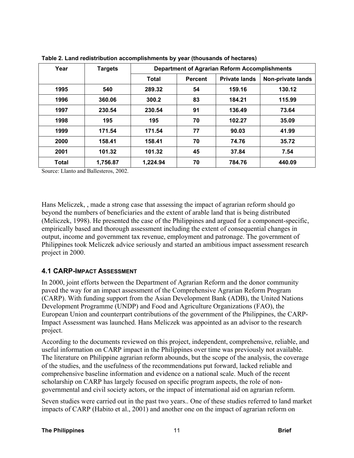| Year         | <b>Targets</b> | <b>Department of Agrarian Reform Accomplishments</b> |                |                      |                          |
|--------------|----------------|------------------------------------------------------|----------------|----------------------|--------------------------|
|              |                | <b>Total</b>                                         | <b>Percent</b> | <b>Private lands</b> | <b>Non-private lands</b> |
| 1995         | 540            | 289.32                                               | 54             | 159.16               | 130.12                   |
| 1996         | 360.06         | 300.2                                                | 83             | 184.21               | 115.99                   |
| 1997         | 230.54         | 230.54                                               | 91             | 136.49               | 73.64                    |
| 1998         | 195            | 195                                                  | 70             | 102.27               | 35.09                    |
| 1999         | 171.54         | 171.54                                               | 77             | 90.03                | 41.99                    |
| 2000         | 158.41         | 158.41                                               | 70             | 74.76                | 35.72                    |
| 2001         | 101.32         | 101.32                                               | 45             | 37.84                | 7.54                     |
| <b>Total</b> | 1,756.87       | 1,224.94                                             | 70             | 784.76               | 440.09                   |

**Table 2. Land redistribution accomplishments by year (thousands of hectares)**

Source: Llanto and Ballesteros, 2002.

Hans Meliczek, , made a strong case that assessing the impact of agrarian reform should go beyond the numbers of beneficiaries and the extent of arable land that is being distributed (Meliczek, 1998). He presented the case of the Philippines and argued for a component-specific, empirically based and thorough assessment including the extent of consequential changes in output, income and government tax revenue, employment and patronage. The government of Philippines took Meliczek advice seriously and started an ambitious impact assessment research project in 2000.

#### **4.1 CARP-IMPACT ASSESSMENT**

In 2000, joint efforts between the Department of Agrarian Reform and the donor community paved the way for an impact assessment of the Comprehensive Agrarian Reform Program (CARP). With funding support from the Asian Development Bank (ADB), the United Nations Development Programme (UNDP) and Food and Agriculture Organizations (FAO), the European Union and counterpart contributions of the government of the Philippines, the CARP-Impact Assessment was launched. Hans Meliczek was appointed as an advisor to the research project.

According to the documents reviewed on this project, independent, comprehensive, reliable, and useful information on CARP impact in the Philippines over time was previously not available. The literature on Philippine agrarian reform abounds, but the scope of the analysis, the coverage of the studies, and the usefulness of the recommendations put forward, lacked reliable and comprehensive baseline information and evidence on a national scale. Much of the recent scholarship on CARP has largely focused on specific program aspects, the role of nongovernmental and civil society actors, or the impact of international aid on agrarian reform.

Seven studies were carried out in the past two years.. One of these studies referred to land market impacts of CARP (Habito et al., 2001) and another one on the impact of agrarian reform on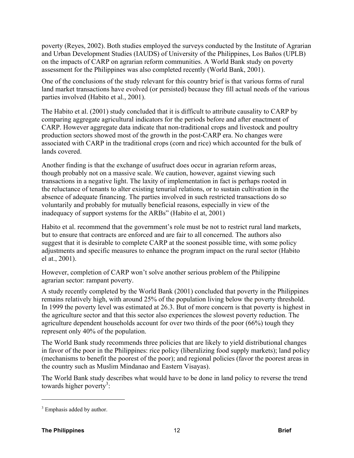poverty (Reyes, 2002). Both studies employed the surveys conducted by the Institute of Agrarian and Urban Development Studies (IAUDS) of University of the Philippines, Los Baños (UPLB) on the impacts of CARP on agrarian reform communities. A World Bank study on poverty assessment for the Philippines was also completed recently (World Bank, 2001).

One of the conclusions of the study relevant for this country brief is that various forms of rural land market transactions have evolved (or persisted) because they fill actual needs of the various parties involved (Habito et al., 2001).

The Habito et al. (2001) study concluded that it is difficult to attribute causality to CARP by comparing aggregate agricultural indicators for the periods before and after enactment of CARP. However aggregate data indicate that non-traditional crops and livestock and poultry production sectors showed most of the growth in the post-CARP era. No changes were associated with CARP in the traditional crops (corn and rice) which accounted for the bulk of lands covered.

Another finding is that the exchange of usufruct does occur in agrarian reform areas, though probably not on a massive scale. We caution, however, against viewing such transactions in a negative light. The laxity of implementation in fact is perhaps rooted in the reluctance of tenants to alter existing tenurial relations, or to sustain cultivation in the absence of adequate financing. The parties involved in such restricted transactions do so voluntarily and probably for mutually beneficial reasons, especially in view of the inadequacy of support systems for the ARBs" (Habito el at, 2001)

Habito et al. recommend that the government's role must be not to restrict rural land markets, but to ensure that contracts are enforced and are fair to all concerned. The authors also suggest that it is desirable to complete CARP at the soonest possible time, with some policy adjustments and specific measures to enhance the program impact on the rural sector (Habito el at., 2001).

However, completion of CARP won't solve another serious problem of the Philippine agrarian sector: rampant poverty.

A study recently completed by the World Bank (2001) concluded that poverty in the Philippines remains relatively high, with around 25% of the population living below the poverty threshold. In 1999 the poverty level was estimated at 26.3. But of more concern is that poverty is highest in the agriculture sector and that this sector also experiences the slowest poverty reduction. The agriculture dependent households account for over two thirds of the poor (66%) tough they represent only 40% of the population.

The World Bank study recommends three policies that are likely to yield distributional changes in favor of the poor in the Philippines: rice policy (liberalizing food supply markets); land policy (mechanisms to benefit the poorest of the poor); and regional policies (favor the poorest areas in the country such as Muslim Mindanao and Eastern Visayas).

The World Bank study describes what would have to be done in land policy to reverse the trend towards higher poverty<sup>3</sup>:

 $\overline{a}$ 

 $3$  Emphasis added by author.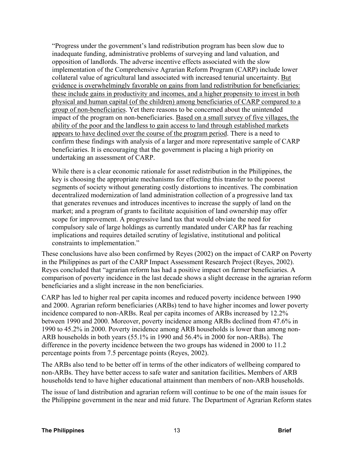"Progress under the government's land redistribution program has been slow due to inadequate funding, administrative problems of surveying and land valuation, and opposition of landlords. The adverse incentive effects associated with the slow implementation of the Comprehensive Agrarian Reform Program (CARP) include lower collateral value of agricultural land associated with increased tenurial uncertainty. But evidence is overwhelmingly favorable on gains from land redistribution for beneficiaries: these include gains in productivity and incomes, and a higher propensity to invest in both physical and human capital (of the children) among beneficiaries of CARP compared to a group of non-beneficiaries. Yet there reasons to be concerned about the unintended impact of the program on non-beneficiaries. Based on a small survey of five villages, the ability of the poor and the landless to gain access to land through established markets appears to have declined over the course of the program period. There is a need to confirm these findings with analysis of a larger and more representative sample of CARP beneficiaries. It is encouraging that the government is placing a high priority on undertaking an assessment of CARP.

While there is a clear economic rationale for asset redistribution in the Philippines, the key is choosing the appropriate mechanisms for effecting this transfer to the poorest segments of society without generating costly distortions to incentives. The combination decentralized modernization of land administration collection of a progressive land tax that generates revenues and introduces incentives to increase the supply of land on the market; and a program of grants to facilitate acquisition of land ownership may offer scope for improvement. A progressive land tax that would obviate the need for compulsory sale of large holdings as currently mandated under CARP has far reaching implications and requires detailed scrutiny of legislative, institutional and political constraints to implementation."

These conclusions have also been confirmed by Reyes (2002) on the impact of CARP on Poverty in the Philippines as part of the CARP Impact Assessment Research Project (Reyes, 2002). Reyes concluded that "agrarian reform has had a positive impact on farmer beneficiaries. A comparison of poverty incidence in the last decade shows a slight decrease in the agrarian reform beneficiaries and a slight increase in the non beneficiaries.

CARP has led to higher real per capita incomes and reduced poverty incidence between 1990 and 2000. Agrarian reform beneficiaries (ARBs) tend to have higher incomes and lower poverty incidence compared to non-ARBs. Real per capita incomes of ARBs increased by 12.2% between 1990 and 2000. Moreover, poverty incidence among ARBs declined from 47.6% in 1990 to 45.2% in 2000. Poverty incidence among ARB households is lower than among non-ARB households in both years (55.1% in 1990 and 56.4% in 2000 for non-ARBs). The difference in the poverty incidence between the two groups has widened in 2000 to 11.2 percentage points from 7.5 percentage points (Reyes, 2002).

The ARBs also tend to be better off in terms of the other indicators of wellbeing compared to non-ARBs. They have better access to safe water and sanitation facilities**.** Members of ARB households tend to have higher educational attainment than members of non-ARB households.

The issue of land distribution and agrarian reform will continue to be one of the main issues for the Philippine government in the near and mid future. The Department of Agrarian Reform states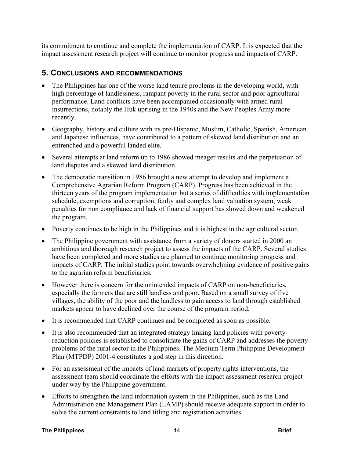its commitment to continue and complete the implementation of CARP. It is expected that the impact assessment research project will continue to monitor progress and impacts of CARP.

## **5. CONCLUSIONS AND RECOMMENDATIONS**

- The Philippines has one of the worse land tenure problems in the developing world, with high percentage of landlessness, rampant poverty in the rural sector and poor agricultural performance. Land conflicts have been accompanied occasionally with armed rural insurrections, notably the Huk uprising in the 1940s and the New Peoples Army more recently.
- Geography, history and culture with its pre-Hispanic, Muslim, Catholic, Spanish, American and Japanese influences, have contributed to a pattern of skewed land distribution and an entrenched and a powerful landed elite.
- Several attempts at land reform up to 1986 showed meager results and the perpetuation of land disputes and a skewed land distribution.
- The democratic transition in 1986 brought a new attempt to develop and implement a Comprehensive Agrarian Reform Program (CARP). Progress has been achieved in the thirteen years of the program implementation but a series of difficulties with implementation schedule, exemptions and corruption, faulty and complex land valuation system, weak penalties for non compliance and lack of financial support has slowed down and weakened the program.
- Poverty continues to be high in the Philippines and it is highest in the agricultural sector.
- The Philippine government with assistance from a variety of donors started in 2000 an ambitious and thorough research project to assess the impacts of the CARP. Several studies have been completed and more studies are planned to continue monitoring progress and impacts of CARP. The initial studies point towards overwhelming evidence of positive gains to the agrarian reform beneficiaries.
- However there is concern for the unintended impacts of CARP on non-beneficiaries, especially the farmers that are still landless and poor. Based on a small survey of five villages, the ability of the poor and the landless to gain access to land through established markets appear to have declined over the course of the program period.
- It is recommended that CARP continues and be completed as soon as possible.
- It is also recommended that an integrated strategy linking land policies with povertyreduction policies is established to consolidate the gains of CARP and addresses the poverty problems of the rural sector in the Philippines. The Medium Term Philippine Development Plan (MTPDP) 2001-4 constitutes a god step in this direction.
- For an assessment of the impacts of land markets of property rights interventions, the assessment team should coordinate the efforts with the impact assessment research project under way by the Philippine government.
- Efforts to strengthen the land information system in the Philippines, such as the Land Administration and Management Plan (LAMP) should receive adequate support in order to solve the current constraints to land titling and registration activities.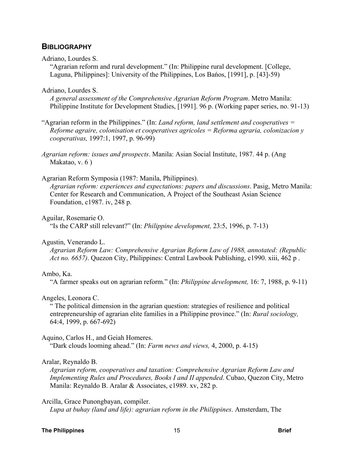#### **BIBLIOGRAPHY**

#### Adriano, Lourdes S.

"Agrarian reform and rural development." (In: Philippine rural development. [College, Laguna, Philippines]: University of the Philippines, Los Bańos, [1991], p. [43]-59)

#### Adriano, Lourdes S.

*A general assessment of the Comprehensive Agrarian Reform Program*. Metro Manila: Philippine Institute for Development Studies, [1991]. 96 p. (Working paper series, no. 91-13)

"Agrarian reform in the Philippines." (In: *Land reform, land settlement and cooperatives = Reforme agraire, colonisation et cooperatives agricoles = Reforma agraria, colonizacion y cooperativas,* 1997:1, 1997, p. 96-99)

*Agrarian reform: issues and prospects*. Manila: Asian Social Institute, 1987. 44 p. (Ang Makatao, v. 6 )

#### Agrarian Reform Symposia (1987: Manila, Philippines).

*Agrarian reform: experiences and expectations: papers and discussions*. Pasig, Metro Manila: Center for Research and Communication, A Project of the Southeast Asian Science Foundation, c1987. iv, 248 p.

Aguilar, Rosemarie O.

"Is the CARP still relevant?" (In: *Philippine development,* 23:5, 1996, p. 7-13)

#### Agustin, Venerando L.

*Agrarian Reform Law: Comprehensive Agrarian Reform Law of 1988, annotated: (Republic Act no. 6657)*. Quezon City, Philippines: Central Lawbook Publishing, c1990. xiii, 462 p .

#### Ambo, Ka.

"A farmer speaks out on agrarian reform." (In: *Philippine development,* 16: 7, 1988, p. 9-11)

#### Angeles, Leonora C.

" The political dimension in the agrarian question: strategies of resilience and political entrepreneurship of agrarian elite families in a Philippine province." (In: *Rural sociology,* 64:4, 1999, p. 667-692)

#### Aquino, Carlos H., and Geiah Homeres.

"Dark clouds looming ahead." (In: *Farm news and views,* 4, 2000, p. 4-15)

#### Aralar, Reynaldo B.

*Agrarian reform, cooperatives and taxation: Comprehensive Agrarian Reform Law and Implementing Rules and Procedures, Books I and II appended*. Cubao, Quezon City, Metro Manila: Reynaldo B. Aralar & Associates, c1989. xv, 282 p.

#### Arcilla, Grace Punongbayan, compiler.

*Lupa at buhay (land and life): agrarian reform in the Philippines*. Amsterdam, The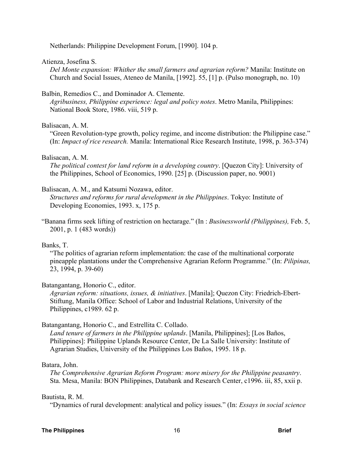Netherlands: Philippine Development Forum, [1990]. 104 p.

#### Atienza, Josefina S.

*Del Monte expansion: Whither the small farmers and agrarian reform?* Manila: Institute on Church and Social Issues, Ateneo de Manila, [1992]. 55, [1] p. (Pulso monograph, no. 10)

#### Balbin, Remedios C., and Dominador A. Clemente.

*Agribusiness, Philippine experience: legal and policy notes*. Metro Manila, Philippines: National Book Store, 1986. viii, 519 p.

#### Balisacan, A. M.

"Green Revolution-type growth, policy regime, and income distribution: the Philippine case." (In: *Impact of rice research.* Manila: International Rice Research Institute, 1998, p. 363-374)

#### Balisacan, A. M.

*The political contest for land reform in a developing country*. [Quezon City]: University of the Philippines, School of Economics, 1990. [25] p. (Discussion paper, no. 9001)

#### Balisacan, A. M., and Katsumi Nozawa, editor.

*Structures and reforms for rural development in the Philippines*. Tokyo: Institute of Developing Economies, 1993. x, 175 p.

"Banana firms seek lifting of restriction on hectarage." (In : *Businessworld (Philippines),* Feb. 5, 2001, p. 1 (483 words))

#### Banks, T.

"The politics of agrarian reform implementation: the case of the multinational corporate pineapple plantations under the Comprehensive Agrarian Reform Programme." (In: *Pilipinas,* 23, 1994, p. 39-60)

#### Batangantang, Honorio C., editor.

*Agrarian reform: situations, issues, & initiatives*. [Manila]; Quezon City: Friedrich-Ebert-Stiftung, Manila Office: School of Labor and Industrial Relations, University of the Philippines, c1989. 62 p.

#### Batangantang, Honorio C., and Estrellita C. Collado.

*Land tenure of farmers in the Philippine uplands*. [Manila, Philippines]; [Los Baños, Philippines]: Philippine Uplands Resource Center, De La Salle University: Institute of Agrarian Studies, University of the Philippines Los Baños, 1995. 18 p.

#### Batara, John.

*The Comprehensive Agrarian Reform Program: more misery for the Philippine peasantry*. Sta. Mesa, Manila: BON Philippines, Databank and Research Center, c1996. iii, 85, xxii p.

#### Bautista, R. M.

"Dynamics of rural development: analytical and policy issues." (In: *Essays in social science*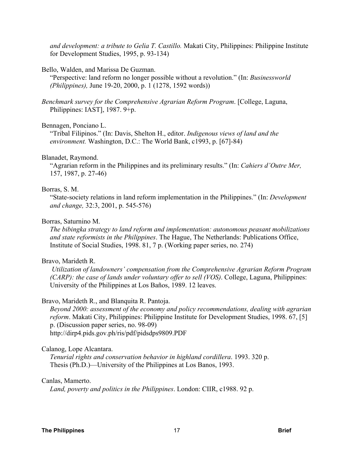*and development: a tribute to Gelia T. Castillo.* Makati City, Philippines: Philippine Institute for Development Studies, 1995, p. 93-134)

#### Bello, Walden, and Marissa De Guzman.

"Perspective: land reform no longer possible without a revolution." (In: *Businessworld (Philippines),* June 19-20, 2000, p. 1 (1278, 1592 words))

*Benchmark survey for the Comprehensive Agrarian Reform Program*. [College, Laguna, Philippines: IAST], 1987. 9+p.

#### Bennagen, Ponciano L.

"Tribal Filipinos." (In: Davis, Shelton H., editor. *Indigenous views of land and the environment.* Washington, D.C.: The World Bank, c1993, p. [67]-84)

#### Blanadet, Raymond.

"Agrarian reform in the Philippines and its preliminary results." (In: *Cahiers d'Outre Mer,* 157, 1987, p. 27-46)

#### Borras, S. M.

"State-society relations in land reform implementation in the Philippines." (In: *Development and change,* 32:3, 2001, p. 545-576)

#### Borras, Saturnino M.

*The bibingka strategy to land reform and implementation: autonomous peasant mobilizations and state reformists in the Philippines*. The Hague, The Netherlands: Publications Office, Institute of Social Studies, 1998. 81, 7 p. (Working paper series, no. 274)

#### Bravo, Marideth R.

 *Utilization of landowners' compensation from the Comprehensive Agrarian Reform Program (CARP): the case of lands under voluntary offer to sell (VOS)*. College, Laguna, Philippines: University of the Philippines at Los Baños, 1989. 12 leaves.

#### Bravo, Marideth R., and Blanquita R. Pantoja.

*Beyond 2000: assessment of the economy and policy recommendations, dealing with agrarian reform*. Makati City, Philippines: Philippine Institute for Development Studies, 1998. 67, [5] p. (Discussion paper series, no. 98-09) http://dirp4.pids.gov.ph/ris/pdf/pidsdps9809.PDF

#### Calanog, Lope Alcantara.

*Tenurial rights and conservation behavior in highland cordillera*. 1993. 320 p. Thesis (Ph.D.)—University of the Philippines at Los Banos, 1993.

#### Canlas, Mamerto.

*Land, poverty and politics in the Philippines*. London: CIIR, c1988. 92 p.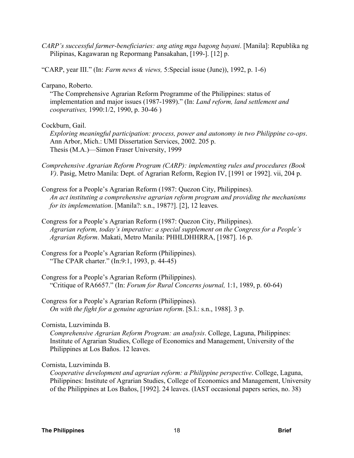*CARP's successful farmer-beneficiaries: ang ating mga bagong bayani*. [Manila]: Republika ng Pilipinas, Kagawaran ng Repormang Pansakahan, [199-]. [12] p.

"CARP, year III." (In: *Farm news & views,* 5:Special issue (June)), 1992, p. 1-6)

Carpano, Roberto.

"The Comprehensive Agrarian Reform Programme of the Philippines: status of implementation and major issues (1987-1989)." (In: *Land reform, land settlement and cooperatives,* 1990:1/2, 1990, p. 30-46 )

#### Cockburn, Gail.

*Exploring meaningful participation: process, power and autonomy in two Philippine co-ops*. Ann Arbor, Mich.: UMI Dissertation Services, 2002. 205 p. Thesis (M.A.)—Simon Fraser University, 1999

- *Comprehensive Agrarian Reform Program (CARP): implementing rules and procedures (Book V)*. Pasig, Metro Manila: Dept. of Agrarian Reform, Region IV, [1991 or 1992]. vii, 204 p.
- Congress for a People's Agrarian Reform (1987: Quezon City, Philippines). *An act instituting a comprehensive agrarian reform program and providing the mechanisms for its implementation*. [Manila?: s.n., 1987?]. [2], 12 leaves.
- Congress for a People's Agrarian Reform (1987: Quezon City, Philippines). *Agrarian reform, today's imperative: a special supplement on the Congress for a People's Agrarian Reform*. Makati, Metro Manila: PHHLDHHRRA, [1987]. 16 p.
- Congress for a People's Agrarian Reform (Philippines). "The CPAR charter." (In:9:1, 1993, p. 44-45)
- Congress for a People's Agrarian Reform (Philippines). "Critique of RA6657." (In: *Forum for Rural Concerns journal,* 1:1, 1989, p. 60-64)

Congress for a People's Agrarian Reform (Philippines). *On with the fight for a genuine agrarian reform*. [S.l.: s.n., 1988]. 3 p.

Cornista, Luzviminda B.

*Comprehensive Agrarian Reform Program: an analysis*. College, Laguna, Philippines: Institute of Agrarian Studies, College of Economics and Management, University of the Philippines at Los Baños. 12 leaves.

#### Cornista, Luzviminda B.

*Cooperative development and agrarian reform: a Philippine perspective*. College, Laguna, Philippines: Institute of Agrarian Studies, College of Economics and Management, University of the Philippines at Los Baños, [1992]. 24 leaves. (IAST occasional papers series, no. 38)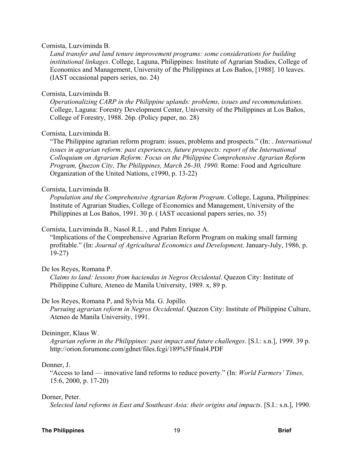#### Cornista, Luzviminda B.

*Land transfer and land tenure improvement programs: some considerations for building institutional linkages*. College, Laguna, Philippines: Institute of Agrarian Studies, College of Economics and Management, University of the Philippines at Los Baños, [1988]. 10 leaves. (IAST occasional papers series, no. 24)

#### Cornista, Luzviminda B.

*Operationalizing CARP in the Philippine uplands: problems, issues and recommendations*. College, Laguna: Forestry Development Center, University of the Philippines at Los Baños, College of Forestry, 1988. 26p. (Policy paper, no. 28)

#### Cornista, Luzviminda B.

"The Philippine agrarian reform program: issues, problems and prospects." (In: . *International issues in agrarian reform: past experiences, future prospects: report of the International Colloquium on Agrarian Reform: Focus on the Philippine Comprehensive Agrarian Reform Program, Quezon City, The Philippines, March 26-30, 1990.* Rome: Food and Agriculture Organization of the United Nations, c1990, p. 13-22)

#### Cornista, Luzviminda B.

*Population and the Comprehensive Agrarian Reform Program*. College, Laguna, Philippines: Institute of Agrarian Studies, College of Economics and Management, University of the Philippines at Los Bańos, 1991. 30 p. ( IAST occasional papers series, no. 35)

Cornista, Luzviminda B., Nasol R.L. , and Pahm Enrique A.

"Implications of the Comprehensive Agrarian Reform Program on making small farming profitable." (In: *Journal of Agricultural Economics and Development,* January-July, 1986, p. 19-27)

De los Reyes, Romana P.

*Claims to land: lessons from haciendas in Negros Occidental*. Quezon City: Institute of Philippine Culture, Ateneo de Manila University, 1989. x, 89 p.

#### De los Reyes, Romana P, and Sylvia Ma. G. Jopillo.

*Pursuing agrarian reform in Negros Occidental*. Quezon City: Institute of Philippine Culture, Ateneo de Manila University, 1991.

#### Deininger, Klaus W.

*Agrarian reform in the Philippines: past impact and future challenges*. [S.l.: s.n.], 1999. 39 p. http://orion.forumone.com/gdnet/files.fcgi/189%5Ffinal4.PDF

#### Donner, J.

"Access to land — innovative land reforms to reduce poverty." (In: *World Farmers' Times,* 15:6, 2000, p. 17-20)

#### Dorner, Peter.

*Selected land reforms in East and Southeast Asia: their origins and impacts*. [S.I.: s.n.], 1990.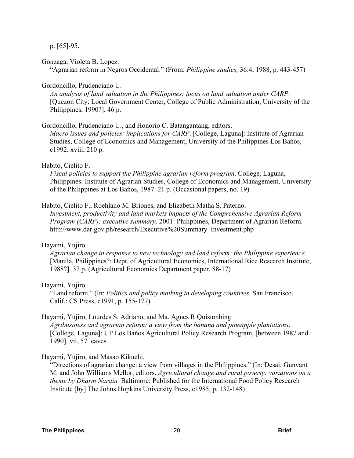p. [65]-95.

Gonzaga, Violeta B. Lopez.

"Agrarian reform in Negros Occidental." (From: *Philippine studies,* 36:4, 1988, p. 443-457)

Gordoncillo, Prudenciano U.

*An analysis of land valuation in the Philippines: focus on land valuation under CARP*. [Quezon City: Local Government Center, College of Public Administration, University of the Philippines, 1990?]. 46 p.

#### Gordoncillo, Prudenciano U., and Honorio C. Batangantang, editors.

*Macro issues and policies: implications for CARP*. [College, Laguna]: Institute of Agrarian Studies, College of Economics and Management, University of the Philippines Los Bańos, c1992. xviii, 210 p.

#### Habito, Cielito F.

*Fiscal policies to support the Philippine agrarian reform program*. College, Laguna, Philippines: Institute of Agrarian Studies, College of Economics and Management, University of the Philippines at Los Bańos, 1987. 21 p. (Occasional papers, no. 19)

#### Habito, Cielito F., Roehlano M. Briones, and Elizabeth Matha S. Paterno.

*Investment, productivity and land markets impacts of the Comprehensive Agrarian Reform Program (CARP): executive summary*. 2001: Philippines, Department of Agrarian Reform. http://www.dar.gov.ph/research/Executive%20Summary\_Investment.php

#### Hayami, Yujiro.

*Agrarian change in response to new technology and land reform: the Philippine experience*. [Manila, Philippines?: Dept. of Agricultural Economics, International Rice Research Institute, 1988?]. 37 p. (Agricultural Economics Department paper, 88-17)

#### Hayami, Yujiro.

"Land reform." (In: *Politics and policy maiking in developing countries.* San Francisco, Calif.: CS Press, c1991, p. 155-177)

#### Hayami, Yujiro, Lourdes S. Adriano, and Ma. Agnes R Quisumbing.

*Agribusiness and agrarian reform: a view from the banana and pineapple plantations*. [College, Laguna]: UP Los Baños Agricultural Policy Research Program, [between 1987 and 1990]. vii, 57 leaves.

#### Hayami, Yujiro, and Masao Kikuchi.

"Directions of agrarian change: a view from villages in the Philippines." (In: Desai, Gunvant M. and John Williams Mellor, editors. *Agricultural change and rural poverty: variations on a theme by Dharm Narain.* Baltimore: Published for the International Food Policy Research Institute [by] The Johns Hopkins University Press, c1985, p. 132-148)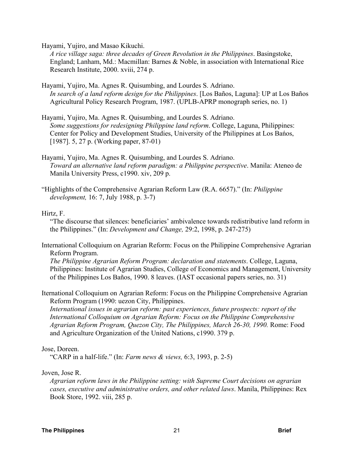Hayami, Yujiro, and Masao Kikuchi.

*A rice village saga: three decades of Green Revolution in the Philippines*. Basingstoke, England; Lanham, Md.: Macmillan: Barnes & Noble, in association with International Rice Research Institute, 2000. xviii, 274 p.

- Hayami, Yujiro, Ma. Agnes R. Quisumbing, and Lourdes S. Adriano. *In search of a land reform design for the Philippines*. [Los Baños, Laguna]: UP at Los Baños Agricultural Policy Research Program, 1987. (UPLB-APRP monograph series, no. 1)
- Hayami, Yujiro, Ma. Agnes R. Quisumbing, and Lourdes S. Adriano. *Some suggestions for redesigning Philippine land reform*. College, Laguna, Philippines: Center for Policy and Development Studies, University of the Philippines at Los Bańos, [1987]. 5, 27 p. (Working paper, 87-01)
- Hayami, Yujiro, Ma. Agnes R. Quisumbing, and Lourdes S. Adriano. *Toward an alternative land reform paradigm: a Philippine perspective*. Manila: Ateneo de Manila University Press, c1990. xiv, 209 p.
- "Highlights of the Comprehensive Agrarian Reform Law (R.A. 6657)." (In: *Philippine development,* 16: 7, July 1988, p. 3-7)

#### Hirtz, F.

"The discourse that silences: beneficiaries' ambivalence towards redistributive land reform in the Philippines." (In: *Development and Change,* 29:2, 1998, p. 247-275)

International Colloquium on Agrarian Reform: Focus on the Philippine Comprehensive Agrarian Reform Program.

*The Philippine Agrarian Reform Program: declaration and statements*. College, Laguna, Philippines: Institute of Agrarian Studies, College of Economics and Management, University of the Philippines Los Baños, 1990. 8 leaves. (IAST occasional papers series, no. 31)

Iternational Colloquium on Agrarian Reform: Focus on the Philippine Comprehensive Agrarian Reform Program (1990: uezon City, Philippines.

*International issues in agrarian reform: past experiences, future prospects: report of the International Colloquium on Agrarian Reform: Focus on the Philippine Comprehensive Agrarian Reform Program, Quezon City, The Philippines, March 26-30, 1990.* Rome: Food and Agriculture Organization of the United Nations, c1990. 379 p.

#### Jose, Doreen.

"CARP in a half-life." (In: *Farm news & views,* 6:3, 1993, p. 2-5)

#### Joven, Jose R.

*Agrarian reform laws in the Philippine setting: with Supreme Court decisions on agrarian cases, executive and administrative orders, and other related laws*. Manila, Philippines: Rex Book Store, 1992. viii, 285 p.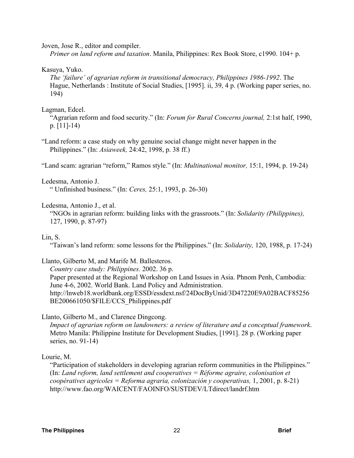Joven, Jose R., editor and compiler.

*Primer on land reform and taxation*. Manila, Philippines: Rex Book Store, c1990. 104+ p.

#### Kasuya, Yuko.

*The 'failure' of agrarian reform in transitional democracy, Philippines 1986-1992*. The Hague, Netherlands : Institute of Social Studies, [1995]. ii, 39, 4 p. (Working paper series, no. 194)

#### Lagman, Edcel.

"Agrarian reform and food security." (In: *Forum for Rural Concerns journal,* 2:1st half, 1990, p. [11]-14)

"Land reform: a case study on why genuine social change might never happen in the Philippines." (In: *Asiaweek,* 24:42, 1998, p. 38 ff.)

"Land scam: agrarian "reform," Ramos style." (In: *Multinational monitor,* 15:1, 1994, p. 19-24)

#### Ledesma, Antonio J.

" Unfinished business." (In: *Ceres,* 25:1, 1993, p. 26-30)

#### Ledesma, Antonio J., et al.

"NGOs in agrarian reform: building links with the grassroots." (In: *Solidarity (Philippines),* 127, 1990, p. 87-97)

#### Lin, S.

"Taiwan's land reform: some lessons for the Philippines." (In: *Solidarity,* 120, 1988, p. 17-24)

#### Llanto, Gilberto M, and Marife M. Ballesteros.

*Country case study: Philippines*. 2002. 36 p. Paper presented at the Regional Workshop on Land Issues in Asia. Phnom Penh, Cambodia: June 4-6, 2002. World Bank. Land Policy and Administration. http://lnweb18.worldbank.org/ESSD/essdext.nsf/24DocByUnid/3D47220E9A02BACF85256 BE200661050/\$FILE/CCS\_Philippines.pdf

#### Llanto, Gilberto M., and Clarence Dingcong.

*Impact of agrarian reform on landowners: a review of literature and a conceptual framework*. Metro Manila: Philippine Institute for Development Studies, [1991]. 28 p. (Working paper series, no. 91-14)

#### Lourie, M.

"Participation of stakeholders in developing agrarian reform communities in the Philippines." (In: *Land reform, land settlement and cooperatives = Réforme agraire, colonisation et coopératives agricoles = Reforma agraria, colonización y cooperativas,* 1, 2001, p. 8-21) http://www.fao.org/WAICENT/FAOINFO/SUSTDEV/LTdirect/landrf.htm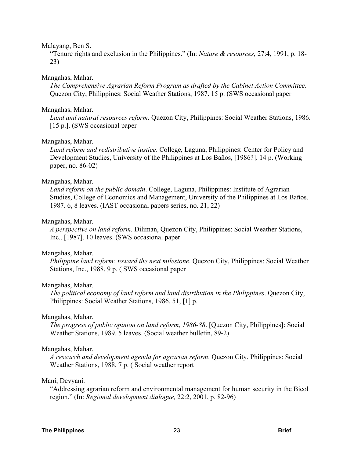#### Malayang, Ben S.

"Tenure rights and exclusion in the Philippines." (In: *Nature & resources,* 27:4, 1991, p. 18- 23)

#### Mangahas, Mahar.

*The Comprehensive Agrarian Reform Program as drafted by the Cabinet Action Committee*. Quezon City, Philippines: Social Weather Stations, 1987. 15 p. (SWS occasional paper

#### Mangahas, Mahar.

*Land and natural resources reform*. Quezon City, Philippines: Social Weather Stations, 1986. [15 p.]. (SWS occasional paper

#### Mangahas, Mahar.

*Land reform and redistributive justice*. College, Laguna, Philippines: Center for Policy and Development Studies, University of the Philippines at Los Baños, [1986?]. 14 p. (Working paper, no. 86-02)

#### Mangahas, Mahar.

*Land reform on the public domain*. College, Laguna, Philippines: Institute of Agrarian Studies, College of Economics and Management, University of the Philippines at Los Baños, 1987. 6, 8 leaves. (IAST occasional papers series, no. 21, 22)

#### Mangahas, Mahar.

*A perspective on land reform*. Diliman, Quezon City, Philippines: Social Weather Stations, Inc., [1987]. 10 leaves. (SWS occasional paper

#### Mangahas, Mahar.

*Philippine land reform: toward the next milestone*. Quezon City, Philippines: Social Weather Stations, Inc., 1988. 9 p. ( SWS occasional paper

#### Mangahas, Mahar.

*The political economy of land reform and land distribution in the Philippines*. Quezon City, Philippines: Social Weather Stations, 1986. 51, [1] p.

#### Mangahas, Mahar.

*The progress of public opinion on land reform, 1986-88*. [Quezon City, Philippines]: Social Weather Stations, 1989. 5 leaves. (Social weather bulletin, 89-2)

#### Mangahas, Mahar.

*A research and development agenda for agrarian reform*. Quezon City, Philippines: Social Weather Stations, 1988. 7 p. ( Social weather report

#### Mani, Devyani.

"Addressing agrarian reform and environmental management for human security in the Bicol region." (In: *Regional development dialogue,* 22:2, 2001, p. 82-96)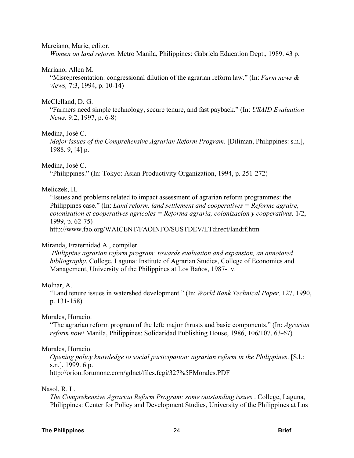#### Marciano, Marie, editor.

*Women on land reform*. Metro Manila, Philippines: Gabriela Education Dept., 1989. 43 p.

#### Mariano, Allen M.

"Misrepresentation: congressional dilution of the agrarian reform law." (In: *Farm news & views,* 7:3, 1994, p. 10-14)

#### McClelland, D. G.

"Farmers need simple technology, secure tenure, and fast payback." (In: *USAID Evaluation News,* 9:2, 1997, p. 6-8)

#### Medina, José C.

*Major issues of the Comprehensive Agrarian Reform Program*. [Diliman, Philippines: s.n.], 1988. 9, [4] p.

#### Medina, José C.

"Philippines." (In: Tokyo: Asian Productivity Organization, 1994, p. 251-272)

#### Meliczek, H.

"Issues and problems related to impact assessment of agrarian reform programmes: the Philippines case." (In: *Land reform, land settlement and cooperatives = Reforme agraire, colonisation et cooperatives agricoles = Reforma agraria, colonizacion y cooperativas,* 1/2, 1999, p. 62-75)

http://www.fao.org/WAICENT/FAOINFO/SUSTDEV/LTdirect/landrf.htm

#### Miranda, Fraternidad A., compiler.

 *Philippine agrarian reform program: towards evaluation and expansion, an annotated bibliography*. College, Laguna: Institute of Agrarian Studies, College of Economics and Management, University of the Philippines at Los Bańos, 1987-. v.

#### Molnar, A.

"Land tenure issues in watershed development." (In: *World Bank Technical Paper,* 127, 1990, p. 131-158)

#### Morales, Horacio.

"The agrarian reform program of the left: major thrusts and basic components." (In: *Agrarian reform now!* Manila, Philippines: Solidaridad Publishing House, 1986, 106/107, 63-67)

#### Morales, Horacio.

*Opening policy knowledge to social participation: agrarian reform in the Philippines*. [S.l.: s.n.], 1999. 6 p. http://orion.forumone.com/gdnet/files.fcgi/327%5FMorales.PDF

#### Nasol, R. L.

*The Comprehensive Agrarian Reform Program: some outstanding issues* . College, Laguna, Philippines: Center for Policy and Development Studies, University of the Philippines at Los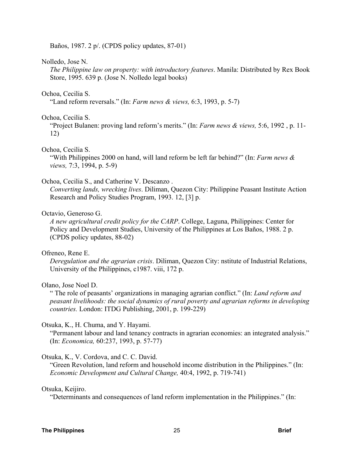Baños, 1987. 2 p/. (CPDS policy updates, 87-01)

#### Nolledo, Jose N.

*The Philippine law on property: with introductory features*. Manila: Distributed by Rex Book Store, 1995. 639 p. (Jose N. Nolledo legal books)

#### Ochoa, Cecilia S.

"Land reform reversals." (In: *Farm news & views,* 6:3, 1993, p. 5-7)

#### Ochoa, Cecilia S.

"Project Bulanen: proving land reform's merits." (In: *Farm news & views,* 5:6, 1992 , p. 11- 12)

#### Ochoa, Cecilia S.

"With Philippines 2000 on hand, will land reform be left far behind?" (In: *Farm news & views,* 7:3, 1994, p. 5-9)

#### Ochoa, Cecilia S., and Catherine V. Descanzo .

*Converting lands, wrecking lives*. Diliman, Quezon City: Philippine Peasant Institute Action Research and Policy Studies Program, 1993. 12, [3] p.

#### Octavio, Generoso G.

*A new agricultural credit policy for the CARP*. College, Laguna, Philippines: Center for Policy and Development Studies, University of the Philippines at Los Baños, 1988. 2 p. (CPDS policy updates, 88-02)

#### Ofreneo, Rene E.

*Deregulation and the agrarian crisis*. Diliman, Quezon City: nstitute of Industrial Relations, University of the Philippines, c1987. viii, 172 p.

#### Olano, Jose Noel D.

" The role of peasants' organizations in managing agrarian conflict." (In: *Land reform and peasant livelihoods: the social dynamics of rural poverty and agrarian reforms in developing countries.* London: ITDG Publishing, 2001, p. 199-229)

#### Otsuka, K., H. Chuma, and Y. Hayami.

"Permanent labour and land tenancy contracts in agrarian economies: an integrated analysis." (In: *Economica,* 60:237, 1993, p. 57-77)

#### Otsuka, K., V. Cordova, and C. C. David.

"Green Revolution, land reform and household income distribution in the Philippines." (In: *Economic Development and Cultural Change,* 40:4, 1992, p. 719-741)

#### Otsuka, Keijiro.

"Determinants and consequences of land reform implementation in the Philippines." (In: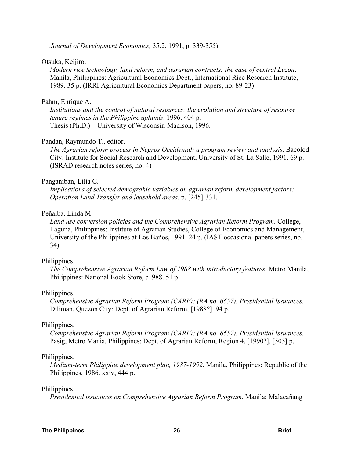*Journal of Development Economics,* 35:2, 1991, p. 339-355)

#### Otsuka, Keijiro.

*Modern rice technology, land reform, and agrarian contracts: the case of central Luzon*. Manila, Philippines: Agricultural Economics Dept., International Rice Research Institute, 1989. 35 p. (IRRI Agricultural Economics Department papers, no. 89-23)

#### Pahm, Enrique A.

*Institutions and the control of natural resources: the evolution and structure of resource tenure regimes in the Philippine uplands*. 1996. 404 p. Thesis (Ph.D.)—University of Wisconsin-Madison, 1996.

#### Pandan, Raymundo T., editor.

*The Agrarian reform process in Negros Occidental: a program review and analysis*. Bacolod City: Institute for Social Research and Development, University of St. La Salle, 1991. 69 p. (ISRAD research notes series, no. 4)

#### Panganiban, Lilia C.

*Implications of selected demograhic variables on agrarian reform development factors: Operation Land Transfer and leasehold areas*. p. [245]-331.

#### Peñalba, Linda M.

*Land use conversion policies and the Comprehensive Agrarian Reform Program*. College, Laguna, Philippines: Institute of Agrarian Studies, College of Economics and Management, University of the Philippines at Los Baños, 1991. 24 p. (IAST occasional papers series, no. 34)

#### Philippines.

*The Comprehensive Agrarian Reform Law of 1988 with introductory features*. Metro Manila, Philippines: National Book Store, c1988. 51 p.

#### Philippines.

*Comprehensive Agrarian Reform Program (CARP): (RA no. 6657), Presidential Issuances.* Diliman, Quezon City: Dept. of Agrarian Reform, [1988?]. 94 p.

#### Philippines.

*Comprehensive Agrarian Reform Program (CARP): (RA no. 6657), Presidential Issuances.* Pasig, Metro Mania, Philippines: Dept. of Agrarian Reform, Region 4, [1990?]. [505] p.

#### Philippines.

*Medium-term Philippine development plan, 1987-1992*. Manila, Philippines: Republic of the Philippines, 1986. xxiv, 444 p.

#### Philippines.

*Presidential issuances on Comprehensive Agrarian Reform Program*. Manila: Malacañang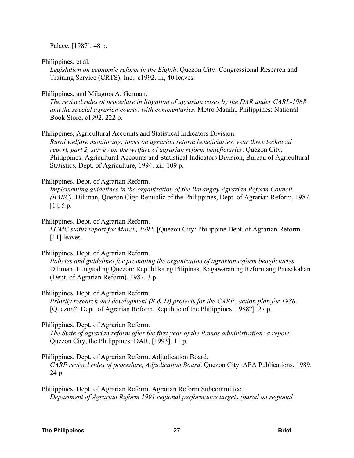Palace, [1987]. 48 p.

Philippines, et al.

*Legislation on economic reform in the Eighth*. Quezon City: Congressional Research and Training Service (CRTS), Inc., c1992. iii, 40 leaves.

#### Philippines, and Milagros A. German.

*The revised rules of procedure in litigation of agrarian cases by the DAR under CARL-1988 and the special agrarian courts: with commentaries*. Metro Manila, Philippines: National Book Store, c1992. 222 p.

Philippines, Agricultural Accounts and Statistical Indicators Division.

*Rural welfare monitoring: focus on agrarian reform beneficiaries, year three technical report, part 2, survey on the welfare of agrarian reform beneficiaries*. Quezon City, Philippines: Agricultural Accounts and Statistical Indicators Division, Bureau of Agricultural Statistics, Dept. of Agriculture, 1994. xii, 109 p.

#### Philippines. Dept. of Agrarian Reform.

*Implementing guidelines in the organization of the Barangay Agrarian Reform Council (BARC)*. Diliman, Quezon City: Republic of the Philippines, Dept. of Agrarian Reform, 1987.  $[1]$ , 5 p.

Philippines. Dept. of Agrarian Reform.

*LCMC status report for March, 1992*. [Quezon City: Philippine Dept. of Agrarian Reform. [11] leaves.

#### Philippines. Dept. of Agrarian Reform.

*Policies and guidelines for promoting the organization of agrarian reform beneficiaries*. Diliman, Lungsod ng Quezon: Republika ng Pilipinas, Kagawaran ng Reformang Pansakahan (Dept. of Agrarian Reform), 1987. 3 p.

Philippines. Dept. of Agrarian Reform.

*Priority research and development (R & D) projects for the CARP: action plan for 1988*. [Quezon?: Dept. of Agrarian Reform, Republic of the Philippines, 1988?]. 27 p.

Philippines. Dept. of Agrarian Reform.

*The State of agrarian reform after the first year of the Ramos administration: a report*. Quezon City, the Philippines: DAR, [1993]. 11 p.

Philippines. Dept. of Agrarian Reform. Adjudication Board.

*CARP revised rules of procedure, Adjudication Board*. Quezon City: AFA Publications, 1989. 24 p.

Philippines. Dept. of Agrarian Reform. Agrarian Reform Subcommittee. *Department of Agrarian Reform 1991 regional performance targets (based on regional*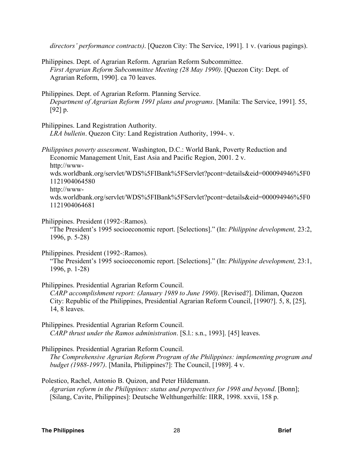*directors' performance contracts)*. [Quezon City: The Service, 1991]. 1 v. (various pagings).

- Philippines. Dept. of Agrarian Reform. Agrarian Reform Subcommittee. *First Agrarian Reform Subcommittee Meeting (28 May 1990)*. [Quezon City: Dept. of Agrarian Reform, 1990]. ca 70 leaves.
- Philippines. Dept. of Agrarian Reform. Planning Service. *Department of Agrarian Reform 1991 plans and programs*. [Manila: The Service, 1991]. 55, [92] p.

Philippines. Land Registration Authority.

*LRA bulletin*. Quezon City: Land Registration Authority, 1994-. v.

*Philippines poverty assessment*. Washington, D.C.: World Bank, Poverty Reduction and Economic Management Unit, East Asia and Pacific Region, 2001. 2 v. http://wwwwds.worldbank.org/servlet/WDS%5FIBank%5FServlet?pcont=details&eid=000094946%5F0 1121904064580 http://wwwwds.worldbank.org/servlet/WDS%5FIBank%5FServlet?pcont=details&eid=000094946%5F0 1121904064681

Philippines. President (1992-:Ramos).

"The President's 1995 socioeconomic report. [Selections]." (In: *Philippine development,* 23:2, 1996, p. 5-28)

Philippines. President (1992-:Ramos).

"The President's 1995 socioeconomic report. [Selections]." (In: *Philippine development,* 23:1, 1996, p. 1-28)

Philippines. Presidential Agrarian Reform Council.

*CARP accomplishment report: (January 1989 to June 1990)*. [Revised?]. Diliman, Quezon City: Republic of the Philippines, Presidential Agrarian Reform Council, [1990?]. 5, 8, [25], 14, 8 leaves.

Philippines. Presidential Agrarian Reform Council. *CARP thrust under the Ramos administration*. [S.l.: s.n., 1993]. [45] leaves.

Philippines. Presidential Agrarian Reform Council. *The Comprehensive Agrarian Reform Program of the Philippines: implementing program and budget (1988-1997)*. [Manila, Philippines?]: The Council, [1989]. 4 v.

Polestico, Rachel, Antonio B. Quizon, and Peter Hildemann. *Agrarian reform in the Philippines: status and perspectives for 1998 and beyond*. [Bonn]; [Silang, Cavite, Philippines]: Deutsche Welthungerhilfe: IIRR, 1998. xxvii, 158 p.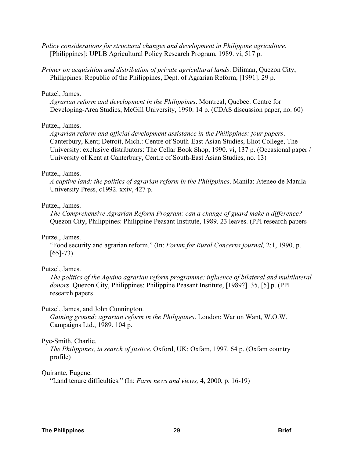*Policy considerations for structural changes and development in Philippine agriculture*. [Philippines]: UPLB Agricultural Policy Research Program, 1989. vi, 517 p.

*Primer on acquisition and distribution of private agricultural lands*. Diliman, Quezon City, Philippines: Republic of the Philippines, Dept. of Agrarian Reform, [1991]. 29 p.

#### Putzel, James.

*Agrarian reform and development in the Philippines*. Montreal, Quebec: Centre for Developing-Area Studies, McGill University, 1990. 14 p. (CDAS discussion paper, no. 60)

#### Putzel, James.

*Agrarian reform and official development assistance in the Philippines: four papers*. Canterbury, Kent; Detroit, Mich.: Centre of South-East Asian Studies, Eliot College, The University: exclusive distributors: The Cellar Book Shop, 1990. vi, 137 p. (Occasional paper / University of Kent at Canterbury, Centre of South-East Asian Studies, no. 13)

#### Putzel, James.

*A captive land: the politics of agrarian reform in the Philippines*. Manila: Ateneo de Manila University Press, c1992. xxiv, 427 p.

#### Putzel, James.

*The Comprehensive Agrarian Reform Program: can a change of guard make a difference?* Quezon City, Philippines: Philippine Peasant Institute, 1989. 23 leaves. (PPI research papers

#### Putzel, James.

"Food security and agrarian reform." (In: *Forum for Rural Concerns journal,* 2:1, 1990, p.  $[65]$ -73)

#### Putzel, James.

*The politics of the Aquino agrarian reform programme: influence of bilateral and multilateral donors*. Quezon City, Philippines: Philippine Peasant Institute, [1989?]. 35, [5] p. (PPI research papers

#### Putzel, James, and John Cunnington.

*Gaining ground: agrarian reform in the Philippines*. London: War on Want, W.O.W. Campaigns Ltd., 1989. 104 p.

#### Pye-Smith, Charlie.

*The Philippines, in search of justice*. Oxford, UK: Oxfam, 1997. 64 p. (Oxfam country profile)

#### Quirante, Eugene.

"Land tenure difficulties." (In: *Farm news and views,* 4, 2000, p. 16-19)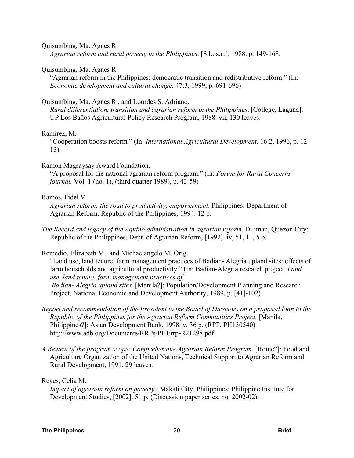Quisumbing, Ma. Agnes R.

*Agrarian reform and rural poverty in the Philippines*. [S.l.: s.n.], 1988. p. 149-168.

Quisumbing, Ma. Agnes R.

"Agrarian reform in the Philippines: democratic transition and redistributive reform." (In: *Economic development and cultural change,* 47:3, 1999, p. 691-696)

#### Quisumbing, Ma. Agnes R., and Lourdes S. Adriano.

*Rural differentiation, transition and agrarian reform in the Philippines*. [College, Laguna]: UP Los Baños Agricultural Policy Research Program, 1988. vii, 130 leaves.

#### Ramirez, M.

"Cooperation boosts reform." (In: *International Agricultural Development,* 16:2, 1996, p. 12- 13)

#### Ramon Magsaysay Award Foundation.

"A proposal for the national agrarian reform program." (In: *Forum for Rural Concerns journal,* Vol. 1:(no. 1), (third quarter 1989), p. 43-59)

#### Ramos, Fidel V.

*Agrarian reform: the road to productivity, empowerment*. Philippines: Department of Agrarian Reform, Republic of the Philippines, 1994. 12 p.

*The Record and legacy of the Aquino administration in agrarian reform*. Diliman, Quezon City: Republic of the Philippines, Dept. of Agrarian Reform, [1992]. iv, 51, 11, 5 p.

Remedio, Elizabeth M., and Michaelangelo M. Orig.

"Land use, land tenure, farm management practices of Badian- Alegria upland sites: effects of farm households and agricultural productivity." (In: Badian-Alegria research project. *Land use, land tenure, farm management practices of Badian- Alegria upland sites.* [Manila?]: Population/Development Planning and Research Project, National Economic and Development Authority, 1989, p. [41]-102)

- *Report and recommendation of the President to the Board of Directors on a proposed loan to the Republic of the Philippines for the Agrarian Reform Communities Project*. [Manila, Philippines?]: Asian Development Bank, 1998. v, 36 p. (RPP, PH130540) http://www.adb.org/Documents/RRPs/PHI/rrp-R21298.pdf
- *A Review of the program scope: Comprehensive Agrarian Reform Program*. [Rome?]: Food and Agriculture Organization of the United Nations, Technical Support to Agrarian Reform and Rural Development, 1991. 29 leaves.

Reyes, Celia M.

*Impact of agrarian reform on poverty* . Makati City, Philippines: Philippine Institute for Development Studies, [2002]. 51 p. (Discussion paper series, no. 2002-02)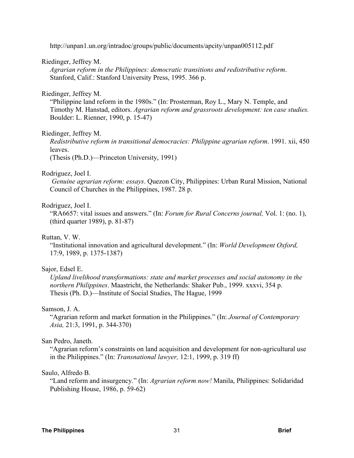http://unpan1.un.org/intradoc/groups/public/documents/apcity/unpan005112.pdf

#### Riedinger, Jeffrey M.

*Agrarian reform in the Philippines: democratic transitions and redistributive reform*. Stanford, Calif.: Stanford University Press, 1995. 366 p.

#### Riedinger, Jeffrey M.

"Philippine land reform in the 1980s." (In: Prosterman, Roy L., Mary N. Temple, and Timothy M. Hanstad, editors. *Agrarian reform and grassroots development: ten case studies.* Boulder: L. Rienner, 1990, p. 15-47)

#### Riedinger, Jeffrey M.

*Redistributive reform in transitional democracies: Philippine agrarian reform*. 1991. xii, 450 leaves.

(Thesis (Ph.D.)—Princeton University, 1991)

#### Rodriguez, Joel I.

 *Genuine agrarian reform: essays*. Quezon City, Philippines: Urban Rural Mission, National Council of Churches in the Philippines, 1987. 28 p.

#### Rodriguez, Joel I.

"RA6657: vital issues and answers." (In: *Forum for Rural Concerns journal,* Vol. 1: (no. 1), (third quarter 1989), p. 81-87)

#### Ruttan, V. W.

"Institutional innovation and agricultural development." (In: *World Development Oxford,* 17:9, 1989, p. 1375-1387)

#### Sajor, Edsel E.

*Upland livelihood transformations: state and market processes and social autonomy in the northern Philippines*. Maastricht, the Netherlands: Shaker Pub., 1999. xxxvi, 354 p. Thesis (Ph. D.)—Institute of Social Studies, The Hague, 1999

#### Samson, J. A.

"Agrarian reform and market formation in the Philippines." (In: *Journal of Contemporary Asia,* 21:3, 1991, p. 344-370)

#### San Pedro, Janeth.

"Agrarian reform's constraints on land acquisition and development for non-agricultural use in the Philippines." (In: *Transnational lawyer,* 12:1, 1999, p. 319 ff)

#### Saulo, Alfredo B.

"Land reform and insurgency." (In: *Agrarian reform now!* Manila, Philippines: Solidaridad Publishing House, 1986, p. 59-62)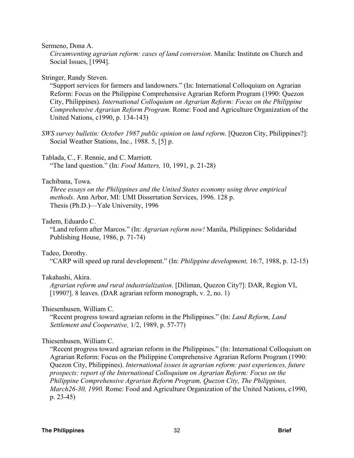#### Sermeno, Dona A.

*Circumventing agrarian reform: cases of land conversion*. Manila: Institute on Church and Social Issues, [1994].

#### Stringer, Randy Steven.

"Support services for farmers and landowners." (In: International Colloquium on Agrarian Reform: Focus on the Philippine Comprehensive Agrarian Reform Program (1990: Quezon City, Philippines). *International Colloquium on Agrarian Reform: Focus on the Philippine Comprehensive Agrarian Reform Program.* Rome: Food and Agriculture Organization of the United Nations, c1990, p. 134-143)

*SWS survey bulletin: October 1987 public opinion on land reform*. [Quezon City, Philippines?]: Social Weather Stations, Inc., 1988. 5, [5] p.

#### Tablada, C., F. Rennie, and C. Marriott.

"The land question." (In: *Food Matters,* 10, 1991, p. 21-28)

#### Tachibana, Towa.

*Three essays on the Philippines and the United States economy using three empirical methods*. Ann Arbor, MI: UMI Dissertation Services, 1996. 128 p. Thesis (Ph.D.)—Yale University, 1996

#### Tadem, Eduardo C.

"Land reform after Marcos." (In: *Agrarian reform now!* Manila, Philippines: Solidaridad Publishing House, 1986, p. 71-74)

#### Tadeo, Dorothy.

"CARP will speed up rural development." (In: *Philippine development,* 16:7, 1988, p. 12-15)

#### Takahashi, Akira.

*Agrarian reform and rural industrialization*. [Diliman, Quezon City?]: DAR, Region VI, [1990?]. 8 leaves. (DAR agrarian reform monograph, v. 2, no. 1)

#### Thiesenhusen, William C.

"Recent progress toward agrarian reform in the Philippines." (In: *Land Reform, Land Settlement and Cooperative,* 1/2, 1989, p. 57-77)

#### Thiesenhusen, William C.

"Recent progress toward agrarian reform in the Philippines." (In: International Colloquium on Agrarian Reform: Focus on the Philippine Comprehensive Agrarian Reform Program (1990: Quezon City, Philippines). *International issues in agrarian reform: past experiences, future prospects: report of the International Colloquium on Agrarian Reform: Focus on the Philippine Comprehensive Agrarian Reform Program, Quezon City, The Philippines, March26-30, 1990.* Rome: Food and Agriculture Organization of the United Nations, c1990, p. 23-45)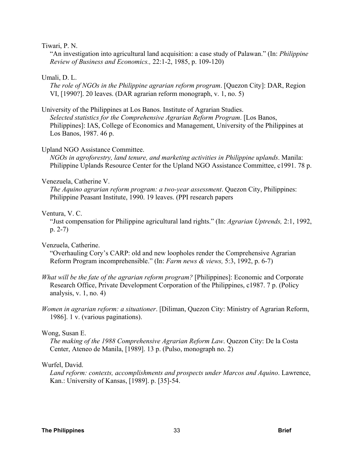#### Tiwari, P. N.

"An investigation into agricultural land acquisition: a case study of Palawan." (In: *Philippine Review of Business and Economics.,* 22:1-2, 1985, p. 109-120)

#### Umali, D. L.

*The role of NGOs in the Philippine agrarian reform program*. [Quezon City]: DAR, Region VI, [1990?]. 20 leaves. (DAR agrarian reform monograph, v. 1, no. 5)

#### University of the Philippines at Los Banos. Institute of Agrarian Studies.

*Selected statistics for the Comprehensive Agrarian Reform Program*. [Los Banos, Philippines]: IAS, College of Economics and Management, University of the Philippines at Los Banos, 1987. 46 p.

#### Upland NGO Assistance Committee.

*NGOs in agroforestry, land tenure, and marketing activities in Philippine uplands*. Manila: Philippine Uplands Resource Center for the Upland NGO Assistance Committee, c1991. 78 p.

#### Venezuela, Catherine V.

*The Aquino agrarian reform program: a two-year assessment*. Quezon City, Philippines: Philippine Peasant Institute, 1990. 19 leaves. (PPI research papers

#### Ventura, V. C.

"Just compensation for Philippine agricultural land rights." (In: *Agrarian Uptrends,* 2:1, 1992, p. 2-7)

#### Venzuela, Catherine.

"Overhauling Cory's CARP: old and new loopholes render the Comprehensive Agrarian Reform Program incomprehensible." (In: *Farm news & views,* 5:3, 1992, p. 6-7)

- *What will be the fate of the agrarian reform program?* [Philippines]: Economic and Corporate Research Office, Private Development Corporation of the Philippines, c1987. 7 p. (Policy analysis, v. 1, no. 4)
- *Women in agrarian reform: a situationer*. [Diliman, Quezon City: Ministry of Agrarian Reform, 1986]. 1 v. (various paginations).

#### Wong, Susan E.

*The making of the 1988 Comprehensive Agrarian Reform Law*. Quezon City: De la Costa Center, Ateneo de Manila, [1989]. 13 p. (Pulso, monograph no. 2)

#### Wurfel, David.

*Land reform: contexts, accomplishments and prospects under Marcos and Aquino*. Lawrence, Kan.: University of Kansas, [1989]. p. [35]-54.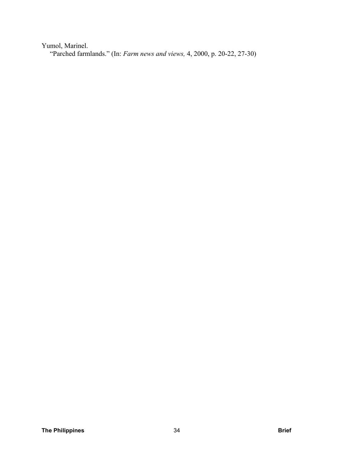Yumol, Marinel. "Parched farmlands." (In: *Farm news and views,* 4, 2000, p. 20-22, 27-30)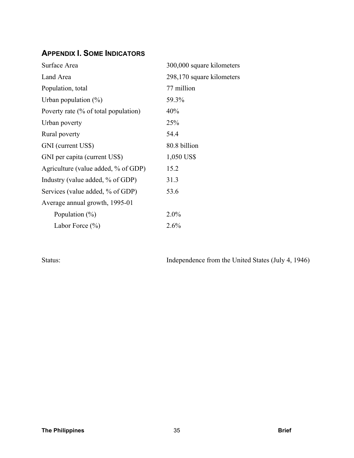## **APPENDIX I. SOME INDICATORS**

| Surface Area                         | 300,000 square kilometers |
|--------------------------------------|---------------------------|
| Land Area                            | 298,170 square kilometers |
| Population, total                    | 77 million                |
| Urban population $(\%)$              | 59.3%                     |
| Poverty rate (% of total population) | 40%                       |
| Urban poverty                        | 25%                       |
| Rural poverty                        | 54.4                      |
| GNI (current US\$)                   | 80.8 billion              |
| GNI per capita (current US\$)        | 1,050 US\$                |
| Agriculture (value added, % of GDP)  | 15.2                      |
| Industry (value added, % of GDP)     | 31.3                      |
| Services (value added, % of GDP)     | 53.6                      |
| Average annual growth, 1995-01       |                           |
| Population $(\% )$                   | $2.0\%$                   |
| Labor Force $(\% )$                  | 2.6%                      |

Status: Independence from the United States (July 4, 1946)